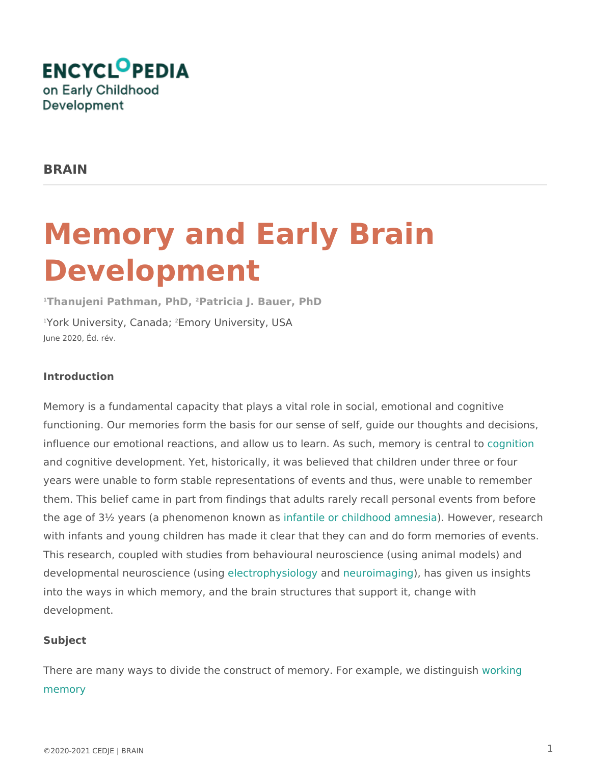# Memory and Early Brain Development

<sup>1</sup>Thanujeni Pathman, PFhaDtricia J. Bauer, PhD  $1$ York University,  $C \bar{E}$  max  $\gamma$ ; University, USA June 2020, Éd. rév.

## Introduction

Memory is a fundamental capacity that plays a vital role in social, emotional functioning. Our memories form the basis for our sense of self, guide our th influence our emotional reactions, and allow us to learn. As saucedniminemory i and cognitive development. Yet, historically, it was believed that children under years were unable to form stable representations of events and thus, were them. This belief came in part from findings that adults rarely recall persor the age of  $3\frac{1}{2}$  years (a phenomenomfakm to iven oarschildhood) amhow seivaer, research with infants and young children has made it clear that they can and do form This research, coupled with studies from behavioural neuroscience (using a developmental neuroscience be ¢ ursoiphysio anonghyeuroimag) in mas given us insights into the ways in which memory, and the brain structures that support it, cha development.

Subject

There are many ways to divide the construct of memory. For womakniplge, we di [memor](http://www.child-encyclopedia.com/sites/default/files/docs/glossaire/glossary_brain_wm.pdf)y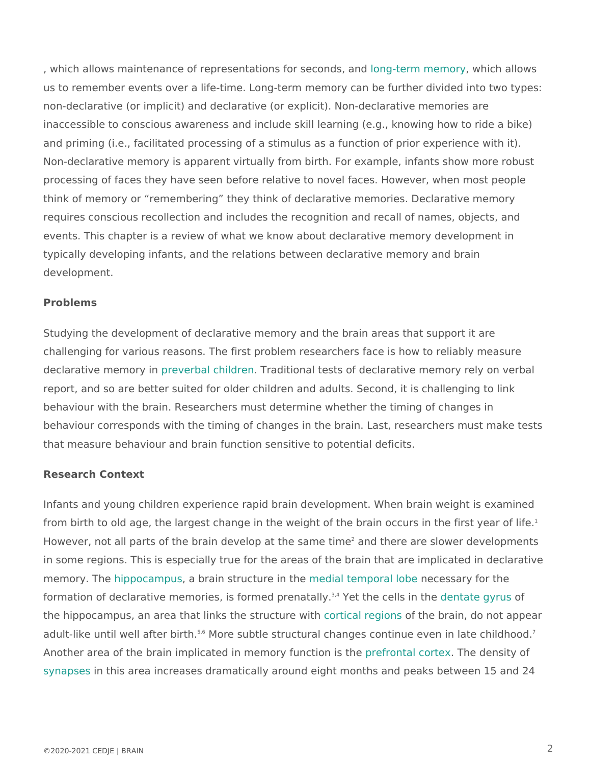, which allows maintenance of representationshofing: tseeroromodes,m wawnhydch allows us to remember events over a life-time. Long-term memory can be further d non-declarative (or implicit) and declarative (or explicit). Non-declarative m inaccessible to conscious awareness and include skill learning (e.g., knowi and priming (i.e., facilitated processing of a stimulus as a function of prior Non-declarative memory is apparent virtually from birth. For example, infan processing of faces they have seen before relative to novel faces. However think of memory or remembering they think of declarative memories. Declaration requires conscious recollection and includes the recognition and recall of n events. This chapter is a review of what we know about declarative memory typically developing infants, and the relations between declarative memory development.

### Problems

Studying the development of declarative memory and the brain areas that so challenging for various reasons. The first problem researchers face is how declarative memory viarbal childTreanditional tests of declarative memory rely report, and so are better suited for older children and adults. Second, it is behaviour with the brain. Researchers must determine whether the timing of behaviour corresponds with the timing of changes in the brain. Last, resear that measure behaviour and brain function sensitive to potential deficits.

## Research Context

Infants and young children experience rapid brain development. When brain from birth to old age, the largest change in the weight of the brain occurs in However, not all parts of the brain develop and hten espendencies wer developments in some regions. This is especially true for the areas of the brain that are memory. Thippocampus brain structuremend ith hele temporal necessary for the formation of declarative memories, is fo<sup>3</sup>r'mYeed phencaet alls ydne ntheete gynoufs the hippocampus, an area that links the conttriocrature giorofinishe brain, do not appe adult-like until well afft Morobertshubtle structural changes continue even in late Another area of the brain implicated in memopryefunctration constance density of [synaps](http://www.child-encyclopedia.com/sites/default/files/docs/glossaire/Glossary_Brain_Synapses.pdf)es this area increases dramatically around eight months and peaks b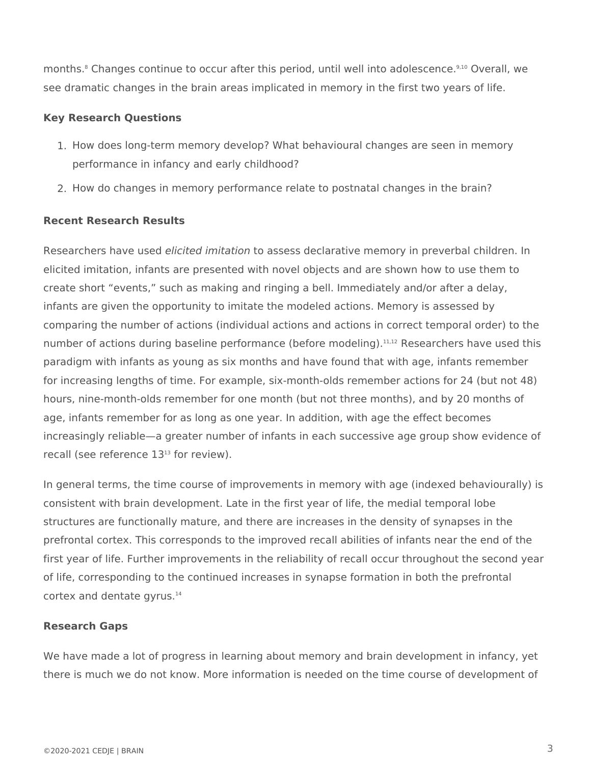months.<sup>8</sup> Changes continue to occur after this period, until well into adolescence.<sup>9,10</sup> Overall, we see dramatic changes in the brain areas implicated in memory in the first two years of life.

## **Key Research Questions**

- 1. How does long-term memory develop? What behavioural changes are seen in memory performance in infancy and early childhood?
- 2. How do changes in memory performance relate to postnatal changes in the brain?

## **Recent Research Results**

Researchers have used *elicited imitation* to assess declarative memory in preverbal children. In elicited imitation, infants are presented with novel objects and are shown how to use them to create short "events," such as making and ringing a bell. Immediately and/or after a delay, infants are given the opportunity to imitate the modeled actions. Memory is assessed by comparing the number of actions (individual actions and actions in correct temporal order) to the number of actions during baseline performance (before modeling).<sup>11,12</sup> Researchers have used this paradigm with infants as young as six months and have found that with age, infants remember for increasing lengths of time. For example, six-month-olds remember actions for 24 (but not 48) hours, nine-month-olds remember for one month (but not three months), and by 20 months of age, infants remember for as long as one year. In addition, with age the effect becomes increasingly reliable—a greater number of infants in each successive age group show evidence of recall (see reference 13<sup>13</sup> for review).

In general terms, the time course of improvements in memory with age (indexed behaviourally) is consistent with brain development. Late in the first year of life, the medial temporal lobe structures are functionally mature, and there are increases in the density of synapses in the prefrontal cortex. This corresponds to the improved recall abilities of infants near the end of the first year of life. Further improvements in the reliability of recall occur throughout the second year of life, corresponding to the continued increases in synapse formation in both the prefrontal cortex and dentate gyrus.<sup>14</sup>

## **Research Gaps**

We have made a lot of progress in learning about memory and brain development in infancy, yet there is much we do not know. More information is needed on the time course of development of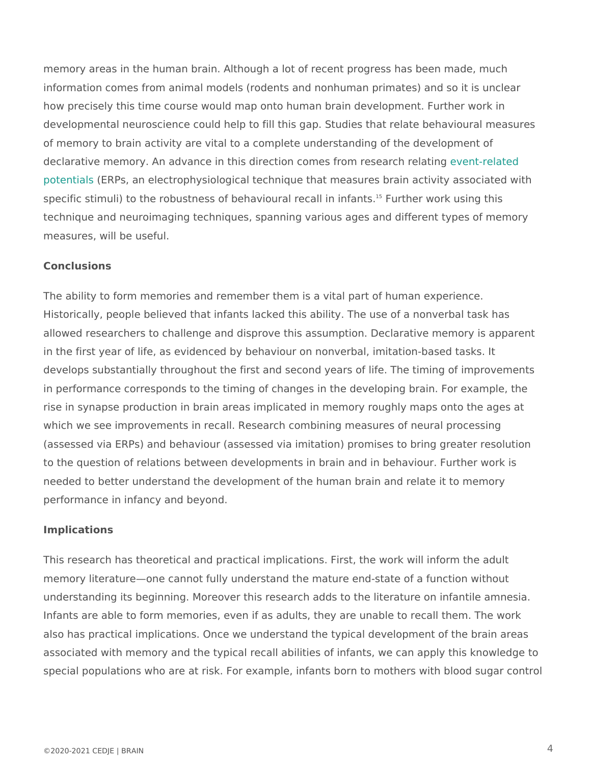memory areas in the human brain. Although a lot of recent progress has been memory areas. information comes from animal models (rodents and nonhuman primates) an how precisely this time course would map onto human brain development. F developmental neuroscience could help to fill this gap. Studies that relate of memory to brain activity are vital to a complete understanding of the dev declarative memory. An advance in this direction comes  $\epsilon$  woem tress lead each relat [potenti](http://www.child-encyclopedia.com/sites/default/files/docs/glossaire/Glossary_Brain_ERP.pdf)a(IERPs, an electrophysiological technique that measures brain activi specific stimuli) to the robustness of behaviou<sup>s</sup> as lure to earl work numes, this technique and neuroimaging techniques, spanning various ages and differer measures, will be useful.

### Conclusions

The ability to form memories and remember them is a vital part of human experience. Historically, people believed that infants lacked this ability. The use of a n allowed researchers to challenge and disprove this assumption. Declarative in the first year of life, as evidenced by behaviour on nonverbal, imitationdevelops substantially throughout the first and second years of life. The tir in performance corresponds to the timing of changes in the developing brai rise in synapse production in brain areas implicated in memory roughly map which we see improvements in recall. Research combining measures of neur (assessed via ERPs) and behaviour (assessed via imitation) promises to bri to the question of relations between developments in brain and in behaviou needed to better understand the development of the human brain and relate performance in infancy and beyond.

#### Implications

This research has theoretical and practical implications. First, the work wil memory literature one cannot fully understand the mature end-state of a fur understanding its beginning. Moreover this research adds to the literature on Infants are able to form memories, even if as adults, they are unable to rec also has practical implications. Once we understand the typical development associated with memory and the typical recall abilities of infants, we can a special populations who are at risk. For example, infants born to mothers w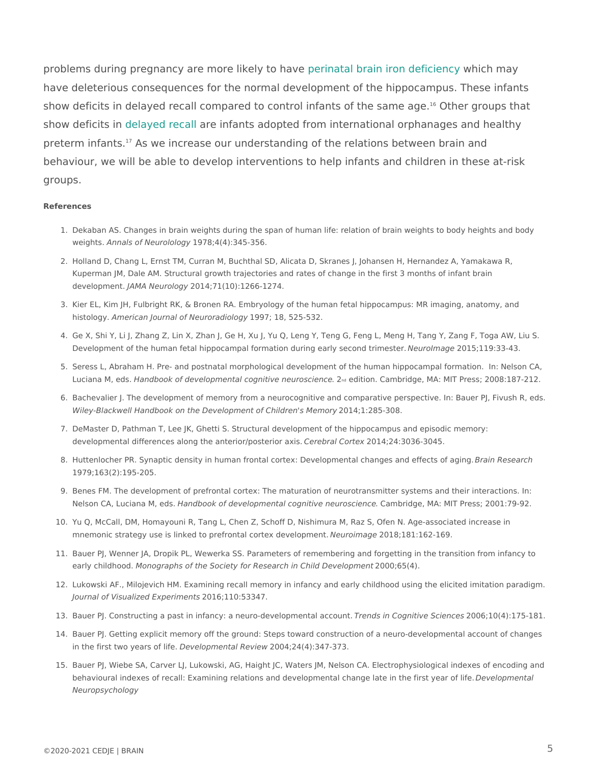problems during pregnancy are more plekreinly attaol hoas usen iron dewindicennamyay have deleterious consequences for the normal development of the hippocam show deficits in delayed recall compared to control infaOntthseofgtrhoeupssamheatage. show deficits impyed recard infants adopted from international orphanages an preterm infanAs we increase our understanding of the relations between brain and behaviour, we will be able to develop interventions to help infants and chil groups.

#### References

- 1. Dekaban AS. Changes in brain weights during the span of human life: relation of brain weights weightAnnals of Neurol<sup>109</sup>  $\overline{0}$   $\overline{0}$   $\overline{9}$   $\overline{y}$  4 (4):345 356.
- 2. Holland D, Chang L, Ernst TM, Curran M, Buchthal SD, Alicata D, Skranes J, Johansen H, Hern Kuperman JM, Dale AM. Structural growth trajectories and rates of change in the first 3 months developmednAMA Neurol2cOg1y4;71(10):1266-1274.
- 3. Kier EL, Kim JH, Fulbright RK, & Bronen RA. Embryology of the human fetal hippocampus: MR i histologymerican Journal of Neurorroad7ology 525-532.
- 4. Ge X, Shi Y, Li J, Zhang Z, Lin X, Zhan J, Ge H, Xu J, Yu Q, Leng Y, Teng G, Feng L, Meng H, Development of the human fetal hippocampal formation during Neeaurly Imeacgoen1d5;tiln9e38e4.3.
- 5. Seress L, Abraham H. Pre- and postnatal morphological development of the human hippocampal Luciana M, eddadbook of developmental cognitive &eudotsonen Cambridge, MA: MIT Press; 2008:18
- 6. Bachevalier J. The development of memory from a neurocognitive and comparative perspective. Wiley-Blackwell Handbook on the Development of 200mli4d te 2855-108 @ for y
- 7. DeMaster D, Pathman T, Lee JK, Ghetti S. Structural development of the hippocampus and epis developmental differences along the anterios e/rpedosted ricoor 2tibetide; 24:3036-3045.
- 8. Huttenlocher PR. Synaptic density in human frontal cortex: Developmental Batam greess and changers 1979;163(2):195-205.
- 9. Benes FM. The development of prefrontal cortex: The maturation of neurotransmitter systems a Nelson CA, Luciana HMandebdosok of developmental cognitive nCeaumbsicdigenceMA: MIT Press; 2001:79-9
- 10.Yu Q, McCall, DM, Homayouni R, Tang L, Chen Z, Schoff D, Nishimura M, Raz S, Ofen N. Age-a mnemonic strategy use is linked to prefrontal coNretex od rea @ kobp8n \$81:162-169.
- 11.Bauer PJ, Wenner JA, Dropik PL, Wewerka SS. Parameters of remembering and forgetting in the early childhomoon. Ographs of the Society for Research in C2n0DcD; D6o5Velopment
- 12.Lukowski AF., Milojevich HM. Examining recall memory in infancy and early childhood using the Journal of Visualized Expetion thos 53347.
- 13.Bauer PJ. Constructing a past in infancy: a neuro-deTvrehochpsmienn Cadganoitiovuen S2c010e6 pdeOs(4):175-181.
- 14. Bauer PJ. Getting explicit memory off the ground: Steps toward construction of a neuro-develo in the first two year  $\beta$  eovfelophemental Revolue 4w, 24(4): 347-373.
- 15.Bauer PJ, Wiebe SA, Carver LJ, Lukowski, AG, Haight JC, Waters JM, Nelson CA. Electrophysio behavioural indexes of recall: Examining relations and developmental charDgeev the ommentheel first y Neuropsychology